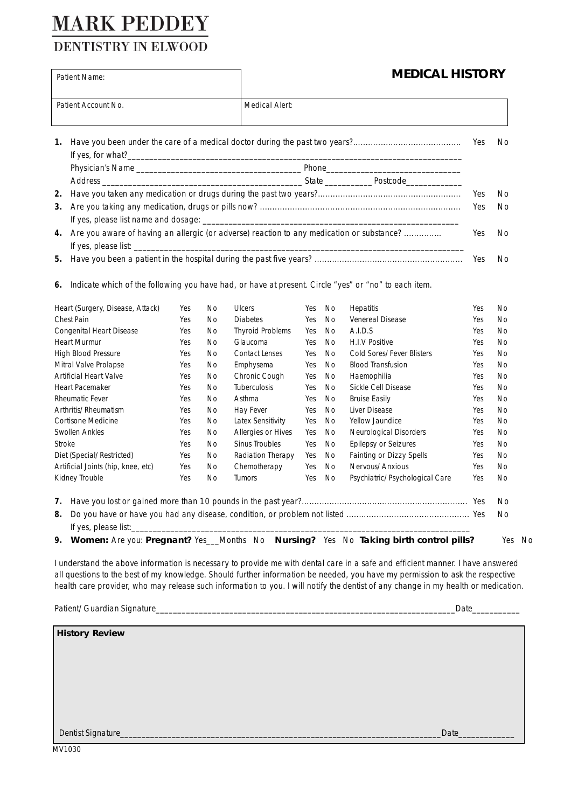# **MARK PEDDEY**

### **DENTISTRY IN ELWOOD**

### **1.** Have you been under the care of a medical doctor during the past two years?........................................... Yes No If yes, for what? Physician's Name **Department of the Contract Oriental** Phone Address \_\_\_\_\_\_\_\_\_\_\_\_\_\_\_\_\_\_\_\_\_\_\_\_\_\_\_\_\_\_\_\_\_\_\_\_\_\_\_\_\_\_\_\_\_\_ State \_\_\_\_\_\_\_\_\_\_\_ Postcode\_\_\_\_\_\_\_\_\_\_\_\_\_ **2.** Have you taken any medication or drugs during the past two years?......................................................... Yes No **3.** Are you taking any medication, drugs or pills now? ................................................................................ Yes No If yes, please list name and dosage: **4.** Are you aware of having an allergic (or adverse) reaction to any medication or substance? ............... Yes No If yes, please list: **5.** Have you been a patient in the hospital during the past five years? ........................................................... Yes No **6.** Indicate which of the following you have had, or have at present. Circle "yes" or "no" to each item. Heart (Surgery, Disease, Attack) Yes No Ulcers Yes No Hepatitis Yes No Yes No Chest Pain Yes No Diabetes Yes No Venereal Disease Yes No Congenital Heart Disease Yes No Thyroid Problems Yes No A.I.D.S Yes No Heart Murmur Yes No Glaucoma Yes No H.I.V Positive Yes No High Blood Pressure Yes No Contact Lenses Yes No Cold Sores/Fever Blisters Yes No Mitral Valve Prolapse Yes No Emphysema Yes No Blood Transfusion Yes No Artificial Heart Valve Yes No Chronic Cough Yes No Haemophilia Yes No Heart Pacemaker Yes No Tuberculosis Yes No Sickle Cell Disease Yes No Rheumatic Fever Yes No Asthma Yes No Bruise Easily Yes No Arthritis/Rheumatism Yes No Hay Fever Yes No Liver Disease Yes No Cortisone Medicine Yes No Latex Sensitivity Yes No Yellow Jaundice Yes No Swollen Ankles **Yes No** Allergies or Hives Yes No Neurological Disorders Yes No Stroke **Yes No Sinus Troubles** Yes No Epilepsy or Seizures Yes No Diet (Special/Restricted) Yes No Radiation Therapy Yes No Fainting or Dizzy Spells Yes No Artificial Joints (hip, knee, etc) Yes No Chemotherapy Yes No Nervous/Anxious Yes No Kidney Trouble Yes No Tumors Yes No Psychiatric/Psychological Care Yes No **7.** Have you lost or gained more than 10 pounds in the past year?.................................................................. Yes No **8.** Do you have or have you had any disease, condition, or problem not listed ................................................. Yes No If yes, please list: **9. Women:** Are you: **Pregnant?** Yes\_\_\_Months No **Nursing?** Yes No **Taking birth control pills?** Yes No *I understand the above information is necessary to provide me with dental care in a safe and efficient manner. I have answered* Patient Name: **MEDICAL HISTORY** Patient Account No. Medical Alert:

*all questions to the best of my knowledge. Should further information be needed, you have my permission to ask the respective health care provider, who may release such information to you. I will notify the dentist of any change in my health or medication.*

Patient/Guardian Signature\_\_\_\_\_\_\_\_\_\_\_\_\_\_\_\_\_\_\_\_\_\_\_\_\_\_\_\_\_\_\_\_\_\_\_\_\_\_\_\_\_\_\_\_\_\_\_\_\_\_\_\_\_\_\_\_\_\_\_\_\_\_\_\_\_\_\_\_\_Date\_\_\_\_\_\_\_\_\_\_\_

**History Review** Dentist Signature **Dentist Signature Dentist Signature Dentist Signature Date**